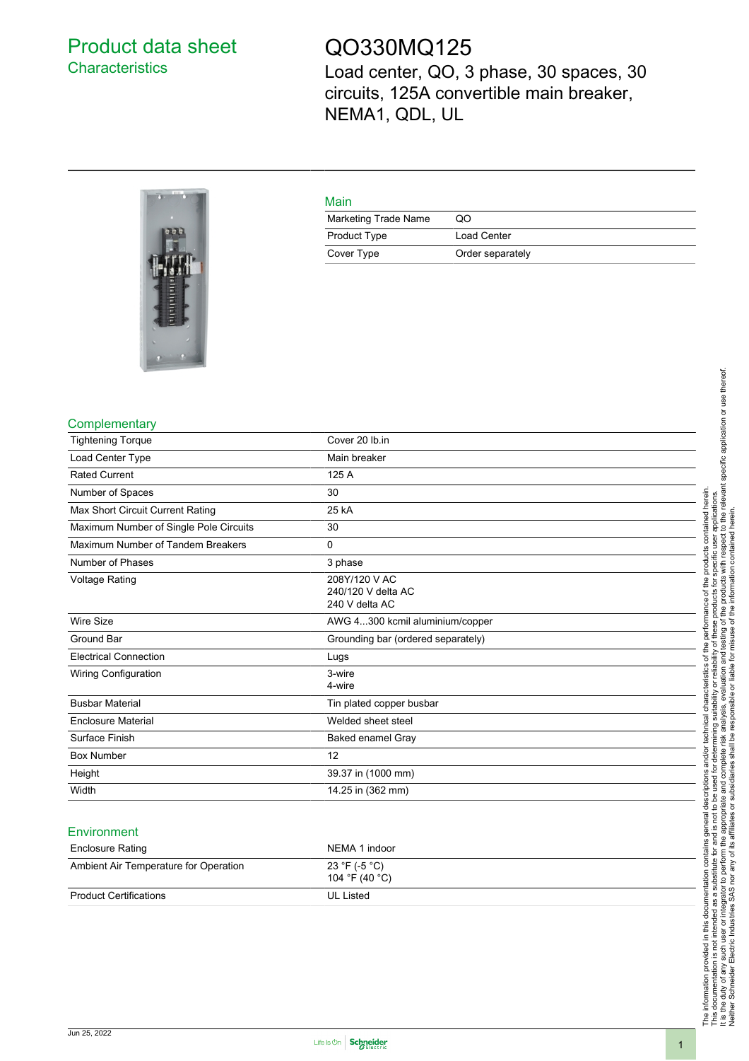# <span id="page-0-0"></span>Product data sheet **Characteristics**

# QO330MQ125

Load center, QO, 3 phase, 30 spaces, 30 circuits, 125A convertible main breaker, NEMA1, QDL, UL

| Main                 |                  |
|----------------------|------------------|
| Marketing Trade Name | OΟ               |
| <b>Product Type</b>  | Load Center      |
| Cover Type           | Order separately |

#### **Complementary**

| <b>Tightening Torque</b>               | Cover 20 lb.in                                        |
|----------------------------------------|-------------------------------------------------------|
| Load Center Type                       | Main breaker                                          |
| <b>Rated Current</b>                   | 125 A                                                 |
| Number of Spaces                       | 30                                                    |
| Max Short Circuit Current Rating       | 25 kA                                                 |
| Maximum Number of Single Pole Circuits | 30                                                    |
| Maximum Number of Tandem Breakers      | 0                                                     |
| Number of Phases                       | 3 phase                                               |
| <b>Voltage Rating</b>                  | 208Y/120 V AC<br>240/120 V delta AC<br>240 V delta AC |
| <b>Wire Size</b>                       | AWG 4300 kcmil aluminium/copper                       |
| Ground Bar                             | Grounding bar (ordered separately)                    |
| <b>Electrical Connection</b>           | Lugs                                                  |
| Wiring Configuration                   | 3-wire<br>4-wire                                      |
| <b>Busbar Material</b>                 | Tin plated copper busbar                              |
| <b>Enclosure Material</b>              | Welded sheet steel                                    |
| Surface Finish                         | Baked enamel Gray                                     |
| <b>Box Number</b>                      | 12                                                    |
| Height                                 | 39.37 in (1000 mm)                                    |
| Width                                  | 14.25 in (362 mm)                                     |

#### **Environment**

| <b>Enclosure Rating</b>               | NEMA 1 indoor                   |
|---------------------------------------|---------------------------------|
| Ambient Air Temperature for Operation | 23 °F (-5 °C)<br>104 °F (40 °C) |
| <b>Product Certifications</b>         | UL Listed                       |

The information provided in this documentation contains general descriptions and/or technical characteristics of the performance of the products contained herein.<br>This documentation is not intended as a substitute for and It is the duty of any such user or integrator to perform the appropriate and complete risk analysis, evaluation and testing of the products with respect to the relevant specific application or use thereof. The information provided in this documentation contains general descriptions and/or technical characteristics of the performance of the products contained herein. This documentation is not intended as a substitute for and is not to be used for determining suitability or reliability of these products for specific user applications. Neither Schneider Electric Industries SAS nor any of its affiliates or subsidiaries shall be responsible or liable for misuse of the information contained herein.